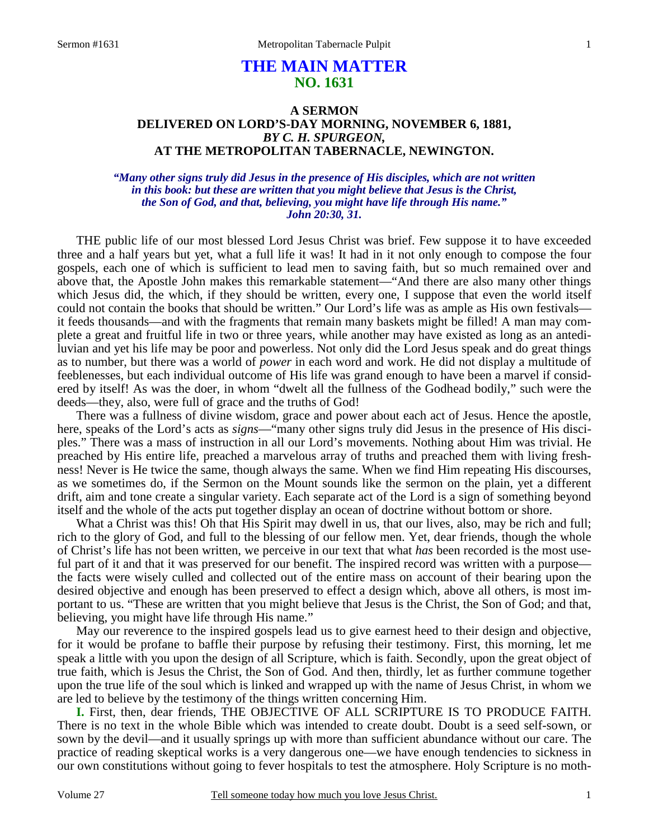# **THE MAIN MATTER NO. 1631**

## **A SERMON DELIVERED ON LORD'S-DAY MORNING, NOVEMBER 6, 1881,**  *BY C. H. SPURGEON,*  **AT THE METROPOLITAN TABERNACLE, NEWINGTON.**

### *"Many other signs truly did Jesus in the presence of His disciples, which are not written in this book: but these are written that you might believe that Jesus is the Christ, the Son of God, and that, believing, you might have life through His name." John 20:30, 31.*

THE public life of our most blessed Lord Jesus Christ was brief. Few suppose it to have exceeded three and a half years but yet, what a full life it was! It had in it not only enough to compose the four gospels, each one of which is sufficient to lead men to saving faith, but so much remained over and above that, the Apostle John makes this remarkable statement—"And there are also many other things which Jesus did, the which, if they should be written, every one, I suppose that even the world itself could not contain the books that should be written." Our Lord's life was as ample as His own festivals it feeds thousands—and with the fragments that remain many baskets might be filled! A man may complete a great and fruitful life in two or three years, while another may have existed as long as an antediluvian and yet his life may be poor and powerless. Not only did the Lord Jesus speak and do great things as to number, but there was a world of *power* in each word and work. He did not display a multitude of feeblenesses, but each individual outcome of His life was grand enough to have been a marvel if considered by itself! As was the doer, in whom "dwelt all the fullness of the Godhead bodily," such were the deeds—they, also, were full of grace and the truths of God!

 There was a fullness of divine wisdom, grace and power about each act of Jesus. Hence the apostle, here, speaks of the Lord's acts as *signs*—"many other signs truly did Jesus in the presence of His disciples." There was a mass of instruction in all our Lord's movements. Nothing about Him was trivial. He preached by His entire life, preached a marvelous array of truths and preached them with living freshness! Never is He twice the same, though always the same. When we find Him repeating His discourses, as we sometimes do, if the Sermon on the Mount sounds like the sermon on the plain, yet a different drift, aim and tone create a singular variety. Each separate act of the Lord is a sign of something beyond itself and the whole of the acts put together display an ocean of doctrine without bottom or shore.

What a Christ was this! Oh that His Spirit may dwell in us, that our lives, also, may be rich and full; rich to the glory of God, and full to the blessing of our fellow men. Yet, dear friends, though the whole of Christ's life has not been written, we perceive in our text that what *has* been recorded is the most useful part of it and that it was preserved for our benefit. The inspired record was written with a purpose the facts were wisely culled and collected out of the entire mass on account of their bearing upon the desired objective and enough has been preserved to effect a design which, above all others, is most important to us. "These are written that you might believe that Jesus is the Christ, the Son of God; and that, believing, you might have life through His name."

 May our reverence to the inspired gospels lead us to give earnest heed to their design and objective, for it would be profane to baffle their purpose by refusing their testimony. First, this morning, let me speak a little with you upon the design of all Scripture, which is faith. Secondly, upon the great object of true faith, which is Jesus the Christ, the Son of God. And then, thirdly, let as further commune together upon the true life of the soul which is linked and wrapped up with the name of Jesus Christ, in whom we are led to believe by the testimony of the things written concerning Him.

**I.** First, then, dear friends, THE OBJECTIVE OF ALL SCRIPTURE IS TO PRODUCE FAITH. There is no text in the whole Bible which was intended to create doubt. Doubt is a seed self-sown, or sown by the devil—and it usually springs up with more than sufficient abundance without our care. The practice of reading skeptical works is a very dangerous one—we have enough tendencies to sickness in our own constitutions without going to fever hospitals to test the atmosphere. Holy Scripture is no moth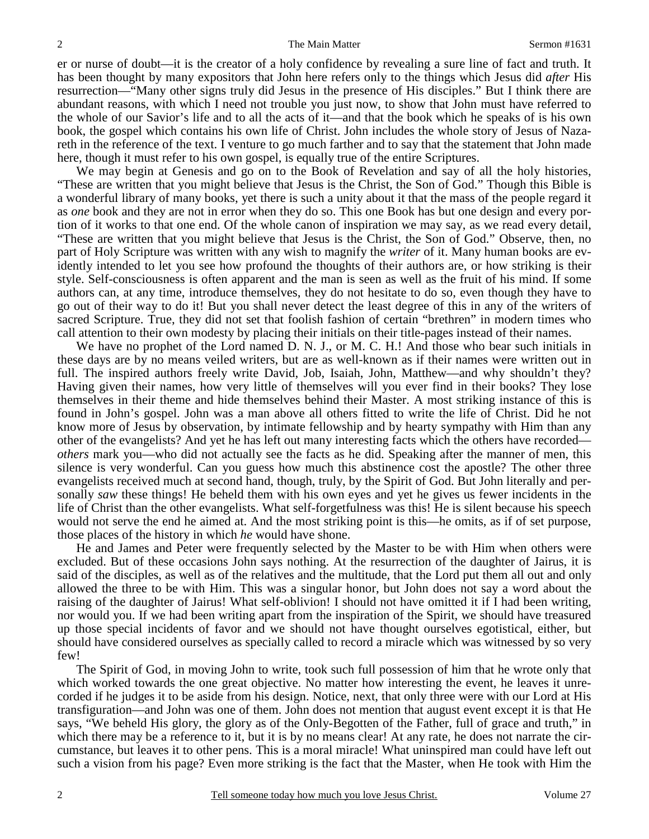er or nurse of doubt—it is the creator of a holy confidence by revealing a sure line of fact and truth. It has been thought by many expositors that John here refers only to the things which Jesus did *after* His resurrection—"Many other signs truly did Jesus in the presence of His disciples." But I think there are abundant reasons, with which I need not trouble you just now, to show that John must have referred to the whole of our Savior's life and to all the acts of it—and that the book which he speaks of is his own book, the gospel which contains his own life of Christ. John includes the whole story of Jesus of Nazareth in the reference of the text. I venture to go much farther and to say that the statement that John made here, though it must refer to his own gospel, is equally true of the entire Scriptures.

 We may begin at Genesis and go on to the Book of Revelation and say of all the holy histories, "These are written that you might believe that Jesus is the Christ, the Son of God." Though this Bible is a wonderful library of many books, yet there is such a unity about it that the mass of the people regard it as *one* book and they are not in error when they do so. This one Book has but one design and every portion of it works to that one end. Of the whole canon of inspiration we may say, as we read every detail, "These are written that you might believe that Jesus is the Christ, the Son of God." Observe, then, no part of Holy Scripture was written with any wish to magnify the *writer* of it. Many human books are evidently intended to let you see how profound the thoughts of their authors are, or how striking is their style. Self-consciousness is often apparent and the man is seen as well as the fruit of his mind. If some authors can, at any time, introduce themselves, they do not hesitate to do so, even though they have to go out of their way to do it! But you shall never detect the least degree of this in any of the writers of sacred Scripture. True, they did not set that foolish fashion of certain "brethren" in modern times who call attention to their own modesty by placing their initials on their title-pages instead of their names.

We have no prophet of the Lord named D. N. J., or M. C. H.! And those who bear such initials in these days are by no means veiled writers, but are as well-known as if their names were written out in full. The inspired authors freely write David, Job, Isaiah, John, Matthew—and why shouldn't they? Having given their names, how very little of themselves will you ever find in their books? They lose themselves in their theme and hide themselves behind their Master. A most striking instance of this is found in John's gospel. John was a man above all others fitted to write the life of Christ. Did he not know more of Jesus by observation, by intimate fellowship and by hearty sympathy with Him than any other of the evangelists? And yet he has left out many interesting facts which the others have recorded *others* mark you—who did not actually see the facts as he did. Speaking after the manner of men, this silence is very wonderful. Can you guess how much this abstinence cost the apostle? The other three evangelists received much at second hand, though, truly, by the Spirit of God. But John literally and personally *saw* these things! He beheld them with his own eyes and yet he gives us fewer incidents in the life of Christ than the other evangelists. What self-forgetfulness was this! He is silent because his speech would not serve the end he aimed at. And the most striking point is this—he omits, as if of set purpose, those places of the history in which *he* would have shone.

 He and James and Peter were frequently selected by the Master to be with Him when others were excluded. But of these occasions John says nothing. At the resurrection of the daughter of Jairus, it is said of the disciples, as well as of the relatives and the multitude, that the Lord put them all out and only allowed the three to be with Him. This was a singular honor, but John does not say a word about the raising of the daughter of Jairus! What self-oblivion! I should not have omitted it if I had been writing, nor would you. If we had been writing apart from the inspiration of the Spirit, we should have treasured up those special incidents of favor and we should not have thought ourselves egotistical, either, but should have considered ourselves as specially called to record a miracle which was witnessed by so very few!

 The Spirit of God, in moving John to write, took such full possession of him that he wrote only that which worked towards the one great objective. No matter how interesting the event, he leaves it unrecorded if he judges it to be aside from his design. Notice, next, that only three were with our Lord at His transfiguration—and John was one of them. John does not mention that august event except it is that He says, "We beheld His glory, the glory as of the Only-Begotten of the Father, full of grace and truth," in which there may be a reference to it, but it is by no means clear! At any rate, he does not narrate the circumstance, but leaves it to other pens. This is a moral miracle! What uninspired man could have left out such a vision from his page? Even more striking is the fact that the Master, when He took with Him the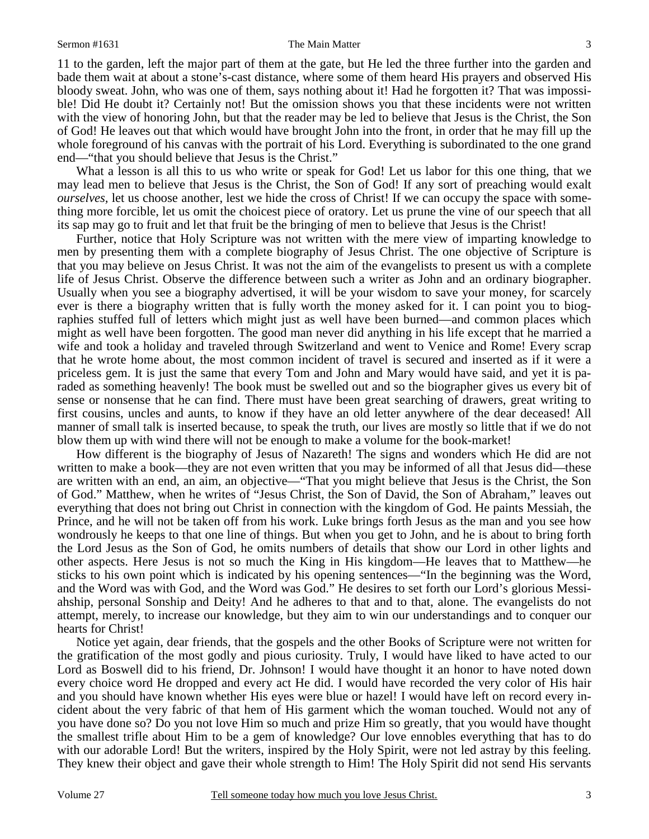### Sermon #1631 **Sermon #1631** The Main Matter 3

11 to the garden, left the major part of them at the gate, but He led the three further into the garden and bade them wait at about a stone's-cast distance, where some of them heard His prayers and observed His bloody sweat. John, who was one of them, says nothing about it! Had he forgotten it? That was impossible! Did He doubt it? Certainly not! But the omission shows you that these incidents were not written with the view of honoring John, but that the reader may be led to believe that Jesus is the Christ, the Son of God! He leaves out that which would have brought John into the front, in order that he may fill up the whole foreground of his canvas with the portrait of his Lord. Everything is subordinated to the one grand end—"that you should believe that Jesus is the Christ."

What a lesson is all this to us who write or speak for God! Let us labor for this one thing, that we may lead men to believe that Jesus is the Christ, the Son of God! If any sort of preaching would exalt *ourselves,* let us choose another, lest we hide the cross of Christ! If we can occupy the space with something more forcible, let us omit the choicest piece of oratory. Let us prune the vine of our speech that all its sap may go to fruit and let that fruit be the bringing of men to believe that Jesus is the Christ!

 Further, notice that Holy Scripture was not written with the mere view of imparting knowledge to men by presenting them with a complete biography of Jesus Christ. The one objective of Scripture is that you may believe on Jesus Christ. It was not the aim of the evangelists to present us with a complete life of Jesus Christ. Observe the difference between such a writer as John and an ordinary biographer. Usually when you see a biography advertised, it will be your wisdom to save your money, for scarcely ever is there a biography written that is fully worth the money asked for it. I can point you to biographies stuffed full of letters which might just as well have been burned—and common places which might as well have been forgotten. The good man never did anything in his life except that he married a wife and took a holiday and traveled through Switzerland and went to Venice and Rome! Every scrap that he wrote home about, the most common incident of travel is secured and inserted as if it were a priceless gem. It is just the same that every Tom and John and Mary would have said, and yet it is paraded as something heavenly! The book must be swelled out and so the biographer gives us every bit of sense or nonsense that he can find. There must have been great searching of drawers, great writing to first cousins, uncles and aunts, to know if they have an old letter anywhere of the dear deceased! All manner of small talk is inserted because, to speak the truth, our lives are mostly so little that if we do not blow them up with wind there will not be enough to make a volume for the book-market!

 How different is the biography of Jesus of Nazareth! The signs and wonders which He did are not written to make a book—they are not even written that you may be informed of all that Jesus did—these are written with an end, an aim, an objective—"That you might believe that Jesus is the Christ, the Son of God." Matthew, when he writes of "Jesus Christ, the Son of David, the Son of Abraham," leaves out everything that does not bring out Christ in connection with the kingdom of God. He paints Messiah, the Prince, and he will not be taken off from his work. Luke brings forth Jesus as the man and you see how wondrously he keeps to that one line of things. But when you get to John, and he is about to bring forth the Lord Jesus as the Son of God, he omits numbers of details that show our Lord in other lights and other aspects. Here Jesus is not so much the King in His kingdom—He leaves that to Matthew—he sticks to his own point which is indicated by his opening sentences—"In the beginning was the Word, and the Word was with God, and the Word was God." He desires to set forth our Lord's glorious Messiahship, personal Sonship and Deity! And he adheres to that and to that, alone. The evangelists do not attempt, merely, to increase our knowledge, but they aim to win our understandings and to conquer our hearts for Christ!

 Notice yet again, dear friends, that the gospels and the other Books of Scripture were not written for the gratification of the most godly and pious curiosity. Truly, I would have liked to have acted to our Lord as Boswell did to his friend, Dr. Johnson! I would have thought it an honor to have noted down every choice word He dropped and every act He did. I would have recorded the very color of His hair and you should have known whether His eyes were blue or hazel! I would have left on record every incident about the very fabric of that hem of His garment which the woman touched. Would not any of you have done so? Do you not love Him so much and prize Him so greatly, that you would have thought the smallest trifle about Him to be a gem of knowledge? Our love ennobles everything that has to do with our adorable Lord! But the writers, inspired by the Holy Spirit, were not led astray by this feeling. They knew their object and gave their whole strength to Him! The Holy Spirit did not send His servants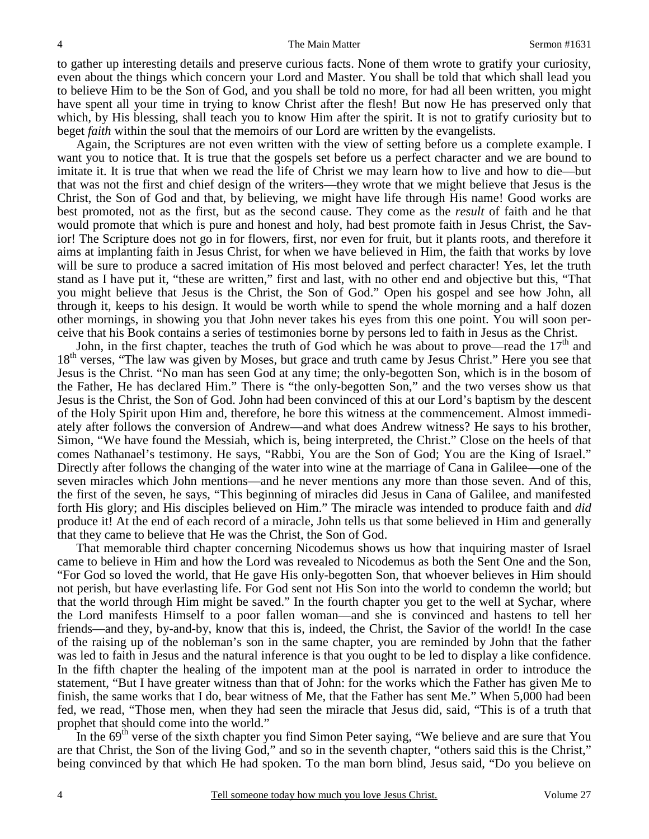to gather up interesting details and preserve curious facts. None of them wrote to gratify your curiosity, even about the things which concern your Lord and Master. You shall be told that which shall lead you to believe Him to be the Son of God, and you shall be told no more, for had all been written, you might have spent all your time in trying to know Christ after the flesh! But now He has preserved only that which, by His blessing, shall teach you to know Him after the spirit. It is not to gratify curiosity but to beget *faith* within the soul that the memoirs of our Lord are written by the evangelists.

 Again, the Scriptures are not even written with the view of setting before us a complete example. I want you to notice that. It is true that the gospels set before us a perfect character and we are bound to imitate it. It is true that when we read the life of Christ we may learn how to live and how to die—but that was not the first and chief design of the writers—they wrote that we might believe that Jesus is the Christ, the Son of God and that, by believing, we might have life through His name! Good works are best promoted, not as the first, but as the second cause. They come as the *result* of faith and he that would promote that which is pure and honest and holy, had best promote faith in Jesus Christ, the Savior! The Scripture does not go in for flowers, first, nor even for fruit, but it plants roots, and therefore it aims at implanting faith in Jesus Christ, for when we have believed in Him, the faith that works by love will be sure to produce a sacred imitation of His most beloved and perfect character! Yes, let the truth stand as I have put it, "these are written," first and last, with no other end and objective but this, "That you might believe that Jesus is the Christ, the Son of God." Open his gospel and see how John, all through it, keeps to his design. It would be worth while to spend the whole morning and a half dozen other mornings, in showing you that John never takes his eyes from this one point. You will soon perceive that his Book contains a series of testimonies borne by persons led to faith in Jesus as the Christ.

John, in the first chapter, teaches the truth of God which he was about to prove—read the  $17<sup>th</sup>$  and 18<sup>th</sup> verses, "The law was given by Moses, but grace and truth came by Jesus Christ." Here you see that Jesus is the Christ. "No man has seen God at any time; the only-begotten Son, which is in the bosom of the Father, He has declared Him." There is "the only-begotten Son," and the two verses show us that Jesus is the Christ, the Son of God. John had been convinced of this at our Lord's baptism by the descent of the Holy Spirit upon Him and, therefore, he bore this witness at the commencement. Almost immediately after follows the conversion of Andrew—and what does Andrew witness? He says to his brother, Simon, "We have found the Messiah, which is, being interpreted, the Christ." Close on the heels of that comes Nathanael's testimony. He says, "Rabbi, You are the Son of God; You are the King of Israel." Directly after follows the changing of the water into wine at the marriage of Cana in Galilee—one of the seven miracles which John mentions—and he never mentions any more than those seven. And of this, the first of the seven, he says, "This beginning of miracles did Jesus in Cana of Galilee, and manifested forth His glory; and His disciples believed on Him." The miracle was intended to produce faith and *did* produce it! At the end of each record of a miracle, John tells us that some believed in Him and generally that they came to believe that He was the Christ, the Son of God.

 That memorable third chapter concerning Nicodemus shows us how that inquiring master of Israel came to believe in Him and how the Lord was revealed to Nicodemus as both the Sent One and the Son, "For God so loved the world, that He gave His only-begotten Son, that whoever believes in Him should not perish, but have everlasting life. For God sent not His Son into the world to condemn the world; but that the world through Him might be saved." In the fourth chapter you get to the well at Sychar, where the Lord manifests Himself to a poor fallen woman—and she is convinced and hastens to tell her friends—and they, by-and-by, know that this is, indeed, the Christ, the Savior of the world! In the case of the raising up of the nobleman's son in the same chapter, you are reminded by John that the father was led to faith in Jesus and the natural inference is that you ought to be led to display a like confidence. In the fifth chapter the healing of the impotent man at the pool is narrated in order to introduce the statement, "But I have greater witness than that of John: for the works which the Father has given Me to finish, the same works that I do, bear witness of Me, that the Father has sent Me." When 5,000 had been fed, we read, "Those men, when they had seen the miracle that Jesus did, said, "This is of a truth that prophet that should come into the world."

In the  $69<sup>th</sup>$  verse of the sixth chapter you find Simon Peter saying, "We believe and are sure that You are that Christ, the Son of the living God," and so in the seventh chapter, "others said this is the Christ," being convinced by that which He had spoken. To the man born blind, Jesus said, "Do you believe on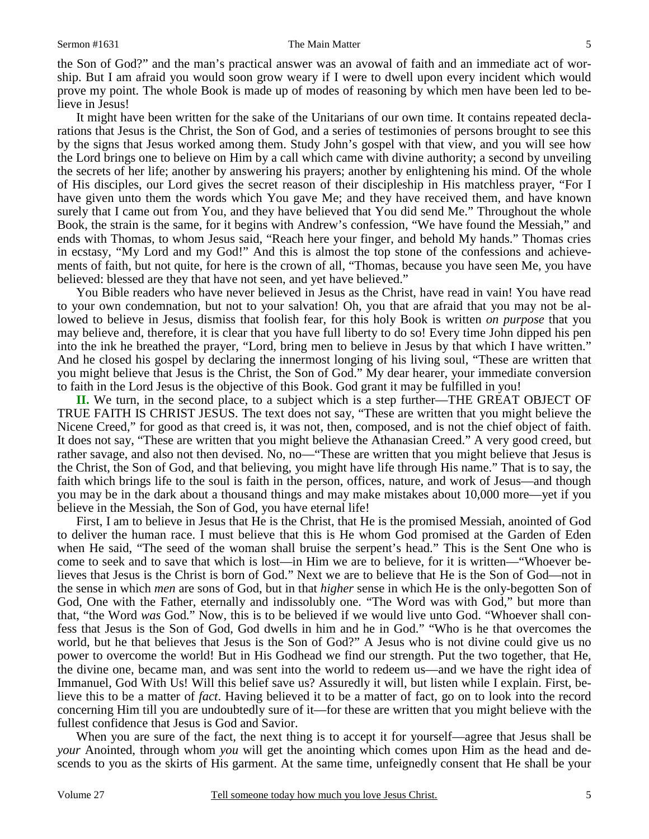### Sermon #1631 5

the Son of God?" and the man's practical answer was an avowal of faith and an immediate act of worship. But I am afraid you would soon grow weary if I were to dwell upon every incident which would prove my point. The whole Book is made up of modes of reasoning by which men have been led to believe in Jesus!

 It might have been written for the sake of the Unitarians of our own time. It contains repeated declarations that Jesus is the Christ, the Son of God, and a series of testimonies of persons brought to see this by the signs that Jesus worked among them. Study John's gospel with that view, and you will see how the Lord brings one to believe on Him by a call which came with divine authority; a second by unveiling the secrets of her life; another by answering his prayers; another by enlightening his mind. Of the whole of His disciples, our Lord gives the secret reason of their discipleship in His matchless prayer, "For I have given unto them the words which You gave Me; and they have received them, and have known surely that I came out from You, and they have believed that You did send Me." Throughout the whole Book, the strain is the same, for it begins with Andrew's confession, "We have found the Messiah," and ends with Thomas, to whom Jesus said, "Reach here your finger, and behold My hands." Thomas cries in ecstasy, "My Lord and my God!" And this is almost the top stone of the confessions and achievements of faith, but not quite, for here is the crown of all, "Thomas, because you have seen Me, you have believed: blessed are they that have not seen, and yet have believed."

 You Bible readers who have never believed in Jesus as the Christ, have read in vain! You have read to your own condemnation, but not to your salvation! Oh, you that are afraid that you may not be allowed to believe in Jesus, dismiss that foolish fear, for this holy Book is written *on purpose* that you may believe and, therefore, it is clear that you have full liberty to do so! Every time John dipped his pen into the ink he breathed the prayer, "Lord, bring men to believe in Jesus by that which I have written." And he closed his gospel by declaring the innermost longing of his living soul, "These are written that you might believe that Jesus is the Christ, the Son of God." My dear hearer, your immediate conversion to faith in the Lord Jesus is the objective of this Book. God grant it may be fulfilled in you!

**II.** We turn, in the second place, to a subject which is a step further—THE GREAT OBJECT OF TRUE FAITH IS CHRIST JESUS. The text does not say, "These are written that you might believe the Nicene Creed," for good as that creed is, it was not, then, composed, and is not the chief object of faith. It does not say, "These are written that you might believe the Athanasian Creed." A very good creed, but rather savage, and also not then devised. No, no—"These are written that you might believe that Jesus is the Christ, the Son of God, and that believing, you might have life through His name." That is to say, the faith which brings life to the soul is faith in the person, offices, nature, and work of Jesus—and though you may be in the dark about a thousand things and may make mistakes about 10,000 more—yet if you believe in the Messiah, the Son of God, you have eternal life!

 First, I am to believe in Jesus that He is the Christ, that He is the promised Messiah, anointed of God to deliver the human race. I must believe that this is He whom God promised at the Garden of Eden when He said, "The seed of the woman shall bruise the serpent's head." This is the Sent One who is come to seek and to save that which is lost—in Him we are to believe, for it is written—"Whoever believes that Jesus is the Christ is born of God." Next we are to believe that He is the Son of God—not in the sense in which *men* are sons of God, but in that *higher* sense in which He is the only-begotten Son of God, One with the Father, eternally and indissolubly one. "The Word was with God," but more than that, "the Word *was* God." Now, this is to be believed if we would live unto God. "Whoever shall confess that Jesus is the Son of God, God dwells in him and he in God." "Who is he that overcomes the world, but he that believes that Jesus is the Son of God?" A Jesus who is not divine could give us no power to overcome the world! But in His Godhead we find our strength. Put the two together, that He, the divine one, became man, and was sent into the world to redeem us—and we have the right idea of Immanuel, God With Us! Will this belief save us? Assuredly it will, but listen while I explain. First, believe this to be a matter of *fact*. Having believed it to be a matter of fact, go on to look into the record concerning Him till you are undoubtedly sure of it—for these are written that you might believe with the fullest confidence that Jesus is God and Savior.

 When you are sure of the fact, the next thing is to accept it for yourself—agree that Jesus shall be *your* Anointed, through whom *you* will get the anointing which comes upon Him as the head and descends to you as the skirts of His garment. At the same time, unfeignedly consent that He shall be your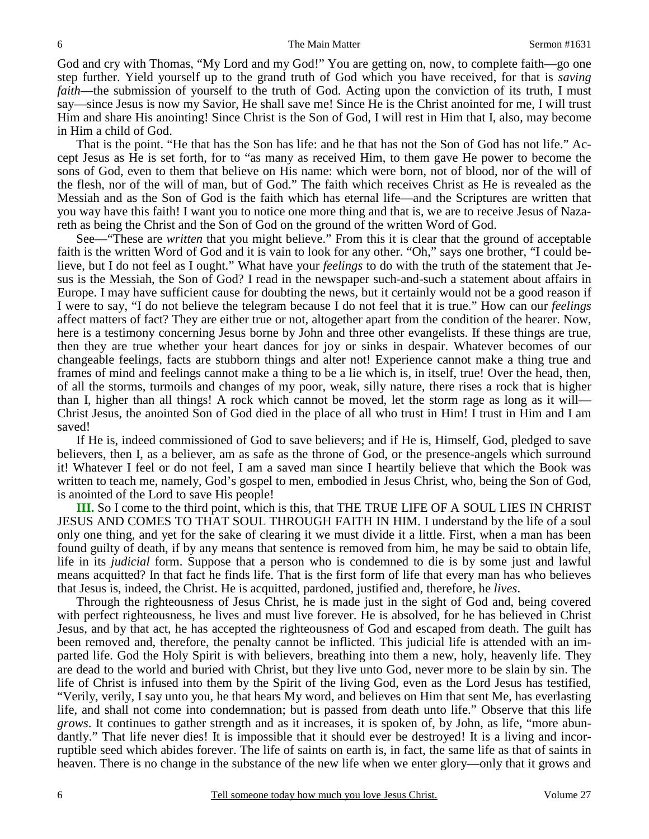God and cry with Thomas, "My Lord and my God!" You are getting on, now, to complete faith—go one step further. Yield yourself up to the grand truth of God which you have received, for that is *saving faith*—the submission of yourself to the truth of God. Acting upon the conviction of its truth, I must say—since Jesus is now my Savior, He shall save me! Since He is the Christ anointed for me, I will trust Him and share His anointing! Since Christ is the Son of God, I will rest in Him that I, also, may become in Him a child of God.

 That is the point. "He that has the Son has life: and he that has not the Son of God has not life." Accept Jesus as He is set forth, for to "as many as received Him, to them gave He power to become the sons of God, even to them that believe on His name: which were born, not of blood, nor of the will of the flesh, nor of the will of man, but of God." The faith which receives Christ as He is revealed as the Messiah and as the Son of God is the faith which has eternal life—and the Scriptures are written that you way have this faith! I want you to notice one more thing and that is, we are to receive Jesus of Nazareth as being the Christ and the Son of God on the ground of the written Word of God.

 See—"These are *written* that you might believe." From this it is clear that the ground of acceptable faith is the written Word of God and it is vain to look for any other. "Oh," says one brother, "I could believe, but I do not feel as I ought." What have your *feelings* to do with the truth of the statement that Jesus is the Messiah, the Son of God? I read in the newspaper such-and-such a statement about affairs in Europe. I may have sufficient cause for doubting the news, but it certainly would not be a good reason if I were to say, "I do not believe the telegram because I do not feel that it is true." How can our *feelings* affect matters of fact? They are either true or not, altogether apart from the condition of the hearer. Now, here is a testimony concerning Jesus borne by John and three other evangelists. If these things are true, then they are true whether your heart dances for joy or sinks in despair. Whatever becomes of our changeable feelings, facts are stubborn things and alter not! Experience cannot make a thing true and frames of mind and feelings cannot make a thing to be a lie which is, in itself, true! Over the head, then, of all the storms, turmoils and changes of my poor, weak, silly nature, there rises a rock that is higher than I, higher than all things! A rock which cannot be moved, let the storm rage as long as it will— Christ Jesus, the anointed Son of God died in the place of all who trust in Him! I trust in Him and I am saved!

 If He is, indeed commissioned of God to save believers; and if He is, Himself, God, pledged to save believers, then I, as a believer, am as safe as the throne of God, or the presence-angels which surround it! Whatever I feel or do not feel, I am a saved man since I heartily believe that which the Book was written to teach me, namely, God's gospel to men, embodied in Jesus Christ, who, being the Son of God, is anointed of the Lord to save His people!

**III.** So I come to the third point, which is this, that THE TRUE LIFE OF A SOUL LIES IN CHRIST JESUS AND COMES TO THAT SOUL THROUGH FAITH IN HIM. I understand by the life of a soul only one thing, and yet for the sake of clearing it we must divide it a little. First, when a man has been found guilty of death, if by any means that sentence is removed from him, he may be said to obtain life, life in its *judicial* form. Suppose that a person who is condemned to die is by some just and lawful means acquitted? In that fact he finds life. That is the first form of life that every man has who believes that Jesus is, indeed, the Christ. He is acquitted, pardoned, justified and, therefore, he *lives*.

 Through the righteousness of Jesus Christ, he is made just in the sight of God and, being covered with perfect righteousness, he lives and must live forever. He is absolved, for he has believed in Christ Jesus, and by that act, he has accepted the righteousness of God and escaped from death. The guilt has been removed and, therefore, the penalty cannot be inflicted. This judicial life is attended with an imparted life. God the Holy Spirit is with believers, breathing into them a new, holy, heavenly life. They are dead to the world and buried with Christ, but they live unto God, never more to be slain by sin. The life of Christ is infused into them by the Spirit of the living God, even as the Lord Jesus has testified, "Verily, verily, I say unto you, he that hears My word, and believes on Him that sent Me, has everlasting life, and shall not come into condemnation; but is passed from death unto life." Observe that this life *grows*. It continues to gather strength and as it increases, it is spoken of, by John, as life, "more abundantly." That life never dies! It is impossible that it should ever be destroyed! It is a living and incorruptible seed which abides forever. The life of saints on earth is, in fact, the same life as that of saints in heaven. There is no change in the substance of the new life when we enter glory—only that it grows and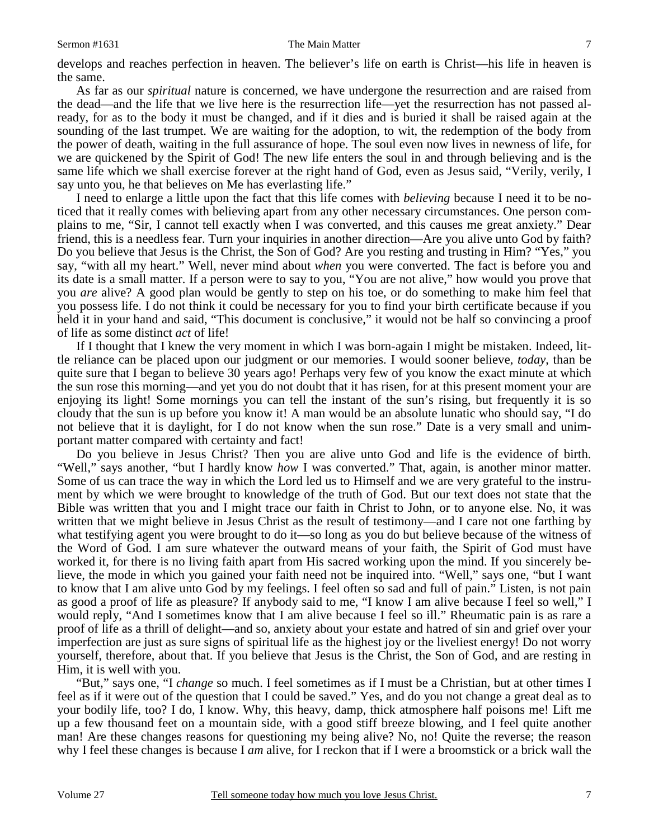### Sermon #1631 The Main Matter 7

develops and reaches perfection in heaven. The believer's life on earth is Christ—his life in heaven is the same.

 As far as our *spiritual* nature is concerned, we have undergone the resurrection and are raised from the dead—and the life that we live here is the resurrection life—yet the resurrection has not passed already, for as to the body it must be changed, and if it dies and is buried it shall be raised again at the sounding of the last trumpet. We are waiting for the adoption, to wit, the redemption of the body from the power of death, waiting in the full assurance of hope. The soul even now lives in newness of life, for we are quickened by the Spirit of God! The new life enters the soul in and through believing and is the same life which we shall exercise forever at the right hand of God, even as Jesus said, "Verily, verily, I say unto you, he that believes on Me has everlasting life."

 I need to enlarge a little upon the fact that this life comes with *believing* because I need it to be noticed that it really comes with believing apart from any other necessary circumstances. One person complains to me, "Sir, I cannot tell exactly when I was converted, and this causes me great anxiety." Dear friend, this is a needless fear. Turn your inquiries in another direction—Are you alive unto God by faith? Do you believe that Jesus is the Christ, the Son of God? Are you resting and trusting in Him? "Yes," you say, "with all my heart." Well, never mind about *when* you were converted. The fact is before you and its date is a small matter. If a person were to say to you, "You are not alive," how would you prove that you *are* alive? A good plan would be gently to step on his toe, or do something to make him feel that you possess life. I do not think it could be necessary for you to find your birth certificate because if you held it in your hand and said, "This document is conclusive," it would not be half so convincing a proof of life as some distinct *act* of life!

 If I thought that I knew the very moment in which I was born-again I might be mistaken. Indeed, little reliance can be placed upon our judgment or our memories. I would sooner believe, *today*, than be quite sure that I began to believe 30 years ago! Perhaps very few of you know the exact minute at which the sun rose this morning—and yet you do not doubt that it has risen, for at this present moment your are enjoying its light! Some mornings you can tell the instant of the sun's rising, but frequently it is so cloudy that the sun is up before you know it! A man would be an absolute lunatic who should say, "I do not believe that it is daylight, for I do not know when the sun rose." Date is a very small and unimportant matter compared with certainty and fact!

 Do you believe in Jesus Christ? Then you are alive unto God and life is the evidence of birth. "Well," says another, "but I hardly know *how* I was converted." That, again, is another minor matter. Some of us can trace the way in which the Lord led us to Himself and we are very grateful to the instrument by which we were brought to knowledge of the truth of God. But our text does not state that the Bible was written that you and I might trace our faith in Christ to John, or to anyone else. No, it was written that we might believe in Jesus Christ as the result of testimony—and I care not one farthing by what testifying agent you were brought to do it—so long as you do but believe because of the witness of the Word of God. I am sure whatever the outward means of your faith, the Spirit of God must have worked it, for there is no living faith apart from His sacred working upon the mind. If you sincerely believe, the mode in which you gained your faith need not be inquired into. "Well," says one, "but I want to know that I am alive unto God by my feelings. I feel often so sad and full of pain." Listen, is not pain as good a proof of life as pleasure? If anybody said to me, "I know I am alive because I feel so well," I would reply, "And I sometimes know that I am alive because I feel so ill." Rheumatic pain is as rare a proof of life as a thrill of delight—and so, anxiety about your estate and hatred of sin and grief over your imperfection are just as sure signs of spiritual life as the highest joy or the liveliest energy! Do not worry yourself, therefore, about that. If you believe that Jesus is the Christ, the Son of God, and are resting in Him, it is well with you.

 "But," says one, "I *change* so much. I feel sometimes as if I must be a Christian, but at other times I feel as if it were out of the question that I could be saved." Yes, and do you not change a great deal as to your bodily life, too? I do, I know. Why, this heavy, damp, thick atmosphere half poisons me! Lift me up a few thousand feet on a mountain side, with a good stiff breeze blowing, and I feel quite another man! Are these changes reasons for questioning my being alive? No, no! Quite the reverse; the reason why I feel these changes is because I *am* alive, for I reckon that if I were a broomstick or a brick wall the